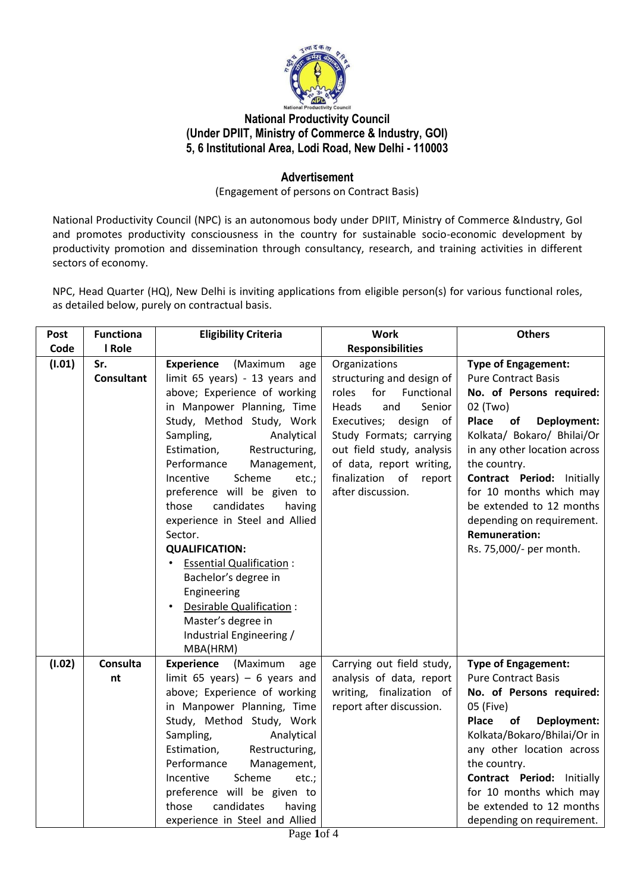

# **National Productivity Council (Under DPIIT, Ministry of Commerce & Industry, GOI) 5, 6 Institutional Area, Lodi Road, New Delhi - 110003**

### **Advertisement**

(Engagement of persons on Contract Basis)

National Productivity Council (NPC) is an autonomous body under DPIIT, Ministry of Commerce &Industry, GoI and promotes productivity consciousness in the country for sustainable socio-economic development by productivity promotion and dissemination through consultancy, research, and training activities in different sectors of economy.

NPC, Head Quarter (HQ), New Delhi is inviting applications from eligible person(s) for various functional roles, as detailed below, purely on contractual basis.

| Post   | <b>Functiona</b>         | <b>Eligibility Criteria</b>                                                                                                                                                                                                                                                                                                                                                                                                                                                                                                                                                                            | <b>Work</b>                                                                                                                                                                                                                                                       | <b>Others</b>                                                                                                                                                                                                                                                                                                                                                                                   |
|--------|--------------------------|--------------------------------------------------------------------------------------------------------------------------------------------------------------------------------------------------------------------------------------------------------------------------------------------------------------------------------------------------------------------------------------------------------------------------------------------------------------------------------------------------------------------------------------------------------------------------------------------------------|-------------------------------------------------------------------------------------------------------------------------------------------------------------------------------------------------------------------------------------------------------------------|-------------------------------------------------------------------------------------------------------------------------------------------------------------------------------------------------------------------------------------------------------------------------------------------------------------------------------------------------------------------------------------------------|
| Code   | I Role                   |                                                                                                                                                                                                                                                                                                                                                                                                                                                                                                                                                                                                        | <b>Responsibilities</b>                                                                                                                                                                                                                                           |                                                                                                                                                                                                                                                                                                                                                                                                 |
| (1.01) | Sr.<br><b>Consultant</b> | <b>Experience</b><br>(Maximum<br>age<br>limit 65 years) - 13 years and<br>above; Experience of working<br>in Manpower Planning, Time<br>Study, Method Study, Work<br>Sampling,<br>Analytical<br>Restructuring,<br>Estimation,<br>Performance<br>Management,<br>Incentive<br>Scheme<br>etc.;<br>preference will be given to<br>candidates<br>those<br>having<br>experience in Steel and Allied<br>Sector.<br><b>QUALIFICATION:</b><br><b>Essential Qualification:</b><br>Bachelor's degree in<br>Engineering<br>Desirable Qualification :<br>Master's degree in<br>Industrial Engineering /<br>MBA(HRM) | Organizations<br>structuring and design of<br>roles for<br>Functional<br>Heads<br>Senior<br>and<br>Executives; design<br>of<br>Study Formats; carrying<br>out field study, analysis<br>of data, report writing,<br>finalization of<br>report<br>after discussion. | <b>Type of Engagement:</b><br><b>Pure Contract Basis</b><br>No. of Persons required:<br>02 (Two)<br><b>Deployment:</b><br>Place<br>of<br>Kolkata/ Bokaro/ Bhilai/Or<br>in any other location across<br>the country.<br><b>Contract Period: Initially</b><br>for 10 months which may<br>be extended to 12 months<br>depending on requirement.<br><b>Remuneration:</b><br>Rs. 75,000/- per month. |
| (1.02) | Consulta                 | Experience (Maximum<br>age                                                                                                                                                                                                                                                                                                                                                                                                                                                                                                                                                                             | Carrying out field study,                                                                                                                                                                                                                                         | <b>Type of Engagement:</b>                                                                                                                                                                                                                                                                                                                                                                      |
|        | nt                       | limit 65 years) $-$ 6 years and<br>above; Experience of working<br>in Manpower Planning, Time<br>Study, Method Study, Work<br>Sampling,<br>Analytical<br>Restructuring,<br>Estimation,<br>Performance<br>Management,<br>Scheme<br>Incentive<br>etc.;<br>preference will be given to<br>candidates<br>those<br>having<br>experience in Steel and Allied                                                                                                                                                                                                                                                 | analysis of data, report<br>writing, finalization of<br>report after discussion.                                                                                                                                                                                  | <b>Pure Contract Basis</b><br>No. of Persons required:<br>05 (Five)<br>Place<br>Deployment:<br>of<br>Kolkata/Bokaro/Bhilai/Or in<br>any other location across<br>the country.<br><b>Contract Period: Initially</b><br>for 10 months which may<br>be extended to 12 months<br>depending on requirement.                                                                                          |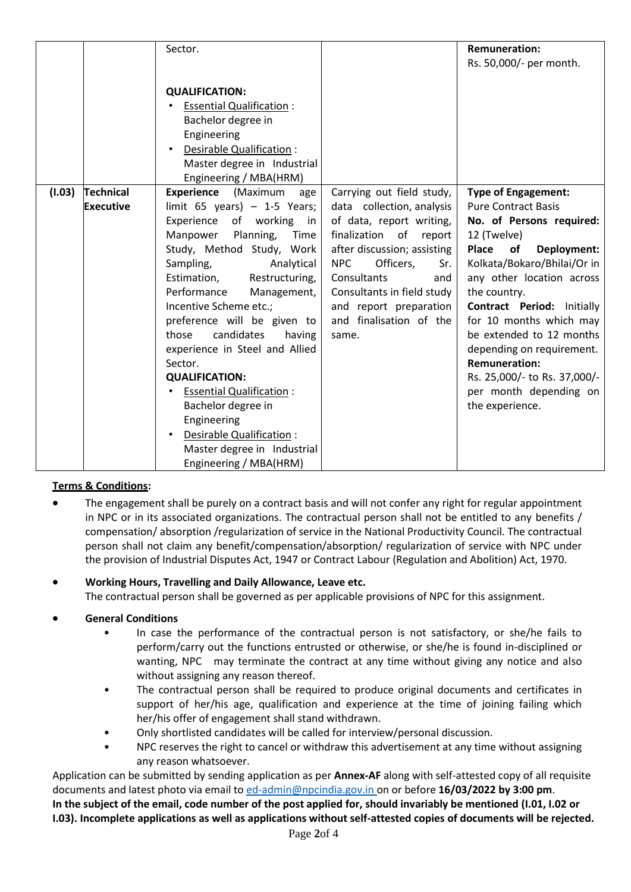|        |                  | Sector.                                            |                                | <b>Remuneration:</b>                                |
|--------|------------------|----------------------------------------------------|--------------------------------|-----------------------------------------------------|
|        |                  |                                                    |                                | Rs. 50,000/- per month.                             |
|        |                  |                                                    |                                |                                                     |
|        |                  | <b>QUALIFICATION:</b>                              |                                |                                                     |
|        |                  | <b>Essential Qualification:</b>                    |                                |                                                     |
|        |                  | Bachelor degree in                                 |                                |                                                     |
|        |                  | Engineering                                        |                                |                                                     |
|        |                  | Desirable Qualification:                           |                                |                                                     |
|        |                  | Master degree in Industrial                        |                                |                                                     |
|        |                  | Engineering / MBA(HRM)                             |                                |                                                     |
| (1.03) | <b>Technical</b> | <b>Experience</b> (Maximum<br>age                  | Carrying out field study,      | <b>Type of Engagement:</b>                          |
|        | <b>Executive</b> | limit $65$ years) - 1-5 Years;                     | data collection, analysis      | <b>Pure Contract Basis</b>                          |
|        |                  | Experience<br>of working in                        | of data, report writing,       | No. of Persons required:                            |
|        |                  | Manpower<br>Planning,<br>Time                      | finalization of<br>report      | 12 (Twelve)                                         |
|        |                  | Study, Method Study, Work                          | after discussion; assisting    | Place<br>of<br>Deployment:                          |
|        |                  | Sampling,<br>Analytical                            | <b>NPC</b><br>Officers,<br>Sr. | Kolkata/Bokaro/Bhilai/Or in                         |
|        |                  | Estimation,<br>Restructuring,                      | Consultants<br>and             | any other location across                           |
|        |                  | Performance<br>Management,                         | Consultants in field study     | the country.                                        |
|        |                  | Incentive Scheme etc.;                             | and report preparation         | <b>Contract Period: Initially</b>                   |
|        |                  | preference will be given to<br>candidates<br>those | and finalisation of the        | for 10 months which may<br>be extended to 12 months |
|        |                  | having                                             | same.                          |                                                     |
|        |                  | experience in Steel and Allied<br>Sector.          |                                | depending on requirement.<br><b>Remuneration:</b>   |
|        |                  | <b>QUALIFICATION:</b>                              |                                | Rs. 25,000/- to Rs. 37,000/-                        |
|        |                  | <b>Essential Qualification:</b>                    |                                | per month depending on                              |
|        |                  | Bachelor degree in                                 |                                | the experience.                                     |
|        |                  | Engineering                                        |                                |                                                     |
|        |                  | Desirable Qualification :<br>$\bullet$             |                                |                                                     |
|        |                  | Master degree in Industrial                        |                                |                                                     |
|        |                  | Engineering / MBA(HRM)                             |                                |                                                     |

### **Terms & Conditions:**

• The engagement shall be purely on a contract basis and will not confer any right for regular appointment in NPC or in its associated organizations. The contractual person shall not be entitled to any benefits / compensation/ absorption /regularization of service in the National Productivity Council. The contractual person shall not claim any benefit/compensation/absorption/ regularization of service with NPC under the provision of Industrial Disputes Act, 1947 or Contract Labour (Regulation and Abolition) Act, 1970.

• **Working Hours, Travelling and Daily Allowance, Leave etc.** The contractual person shall be governed as per applicable provisions of NPC for this assignment.

- **General Conditions**
	- In case the performance of the contractual person is not satisfactory, or she/he fails to perform/carry out the functions entrusted or otherwise, or she/he is found in-disciplined or wanting, NPC may terminate the contract at any time without giving any notice and also without assigning any reason thereof.
	- The contractual person shall be required to produce original documents and certificates in support of her/his age, qualification and experience at the time of joining failing which her/his offer of engagement shall stand withdrawn.
	- Only shortlisted candidates will be called for interview/personal discussion.
	- NPC reserves the right to cancel or withdraw this advertisement at any time without assigning any reason whatsoever.

Application can be submitted by sending application as per **Annex-AF** along with self-attested copy of all requisite documents and latest photo via email t[o ed-admin@npcindia.gov.in](mailto:ed-admin@npcindia.gov.in) on or before **16/03/2022 by 3:00 pm**. **In the subject of the email, code number of the post applied for, should invariably be mentioned (I.01, I.02 or I.03). Incomplete applications as well as applications without self-attested copies of documents will be rejected.**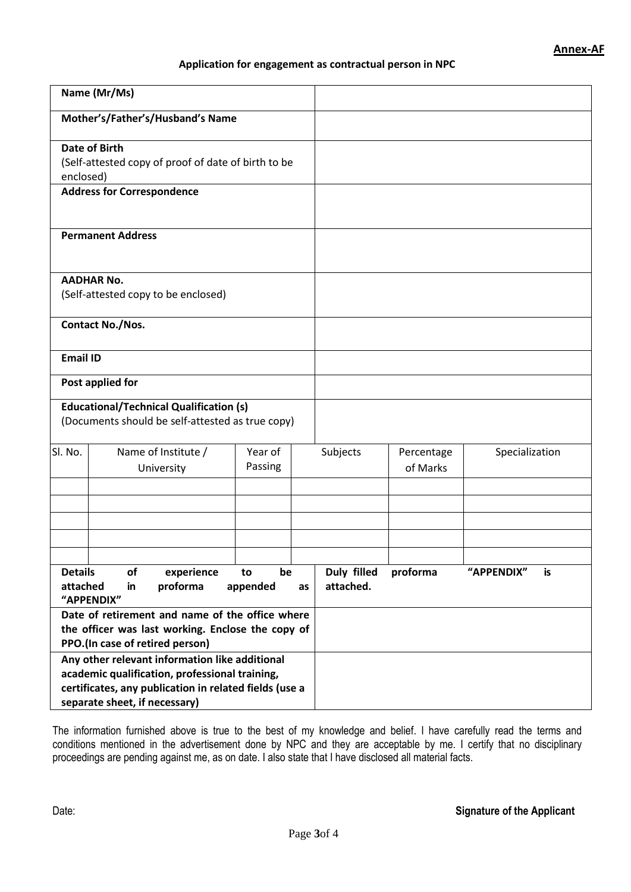#### **Application for engagement as contractual person in NPC**

|                                                                                                                                                                                             | Name (Mr/Ms)                                                                                                                                          |                      |    |                          |                        |                  |
|---------------------------------------------------------------------------------------------------------------------------------------------------------------------------------------------|-------------------------------------------------------------------------------------------------------------------------------------------------------|----------------------|----|--------------------------|------------------------|------------------|
| Mother's/Father's/Husband's Name                                                                                                                                                            |                                                                                                                                                       |                      |    |                          |                        |                  |
| enclosed)                                                                                                                                                                                   | <b>Date of Birth</b><br>(Self-attested copy of proof of date of birth to be<br><b>Address for Correspondence</b>                                      |                      |    |                          |                        |                  |
| <b>Permanent Address</b>                                                                                                                                                                    |                                                                                                                                                       |                      |    |                          |                        |                  |
|                                                                                                                                                                                             | <b>AADHAR No.</b><br>(Self-attested copy to be enclosed)                                                                                              |                      |    |                          |                        |                  |
|                                                                                                                                                                                             | <b>Contact No./Nos.</b>                                                                                                                               |                      |    |                          |                        |                  |
| <b>Email ID</b>                                                                                                                                                                             |                                                                                                                                                       |                      |    |                          |                        |                  |
|                                                                                                                                                                                             | Post applied for                                                                                                                                      |                      |    |                          |                        |                  |
|                                                                                                                                                                                             | <b>Educational/Technical Qualification (s)</b><br>(Documents should be self-attested as true copy)                                                    |                      |    |                          |                        |                  |
| SI. No.                                                                                                                                                                                     | Name of Institute /<br>University                                                                                                                     | Year of<br>Passing   |    | Subjects                 | Percentage<br>of Marks | Specialization   |
|                                                                                                                                                                                             |                                                                                                                                                       |                      |    |                          |                        |                  |
| <b>Details</b><br>attached                                                                                                                                                                  | of<br>experience<br>proforma<br>in                                                                                                                    | be<br>to<br>appended | as | Duly filled<br>attached. | proforma               | "APPENDIX"<br>is |
|                                                                                                                                                                                             | "APPENDIX"<br>Date of retirement and name of the office where<br>the officer was last working. Enclose the copy of<br>PPO.(In case of retired person) |                      |    |                          |                        |                  |
| Any other relevant information like additional<br>academic qualification, professional training,<br>certificates, any publication in related fields (use a<br>separate sheet, if necessary) |                                                                                                                                                       |                      |    |                          |                        |                  |

The information furnished above is true to the best of my knowledge and belief. I have carefully read the terms and conditions mentioned in the advertisement done by NPC and they are acceptable by me. I certify that no disciplinary proceedings are pending against me, as on date. I also state that I have disclosed all material facts.